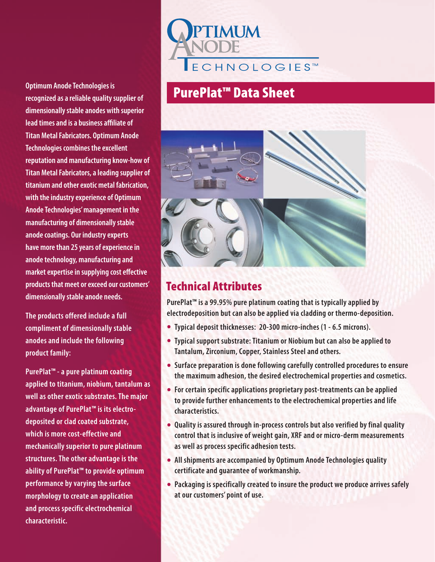**Optimum Anode Technologies is recognized as a reliable quality supplier of dimensionally stable anodes with superior lead times and is a business affiliate of Titan Metal Fabricators. Optimum Anode Technologies combines the excellent reputation and manufacturing know-how of Titan Metal Fabricators, a leading supplier of titanium and other exotic metal fabrication, with the industry experience of Optimum Anode Technologies' management in the manufacturing of dimensionally stable anode coatings. Our industry experts have more than 25 years of experience in anode technology, manufacturing and market expertise in supplying cost effective products that meet or exceed our customers' dimensionally stable anode needs.** 

**The products offered include a full compliment of dimensionally stable anodes and include the following product family:**

**PurePlat™ - a pure platinum coating applied to titanium, niobium, tantalum as well as other exotic substrates. The major advantage of PurePlat™ is its electrodeposited or clad coated substrate, which is more cost-effective and mechanically superior to pure platinum structures. The other advantage is the ability of PurePlat™ to provide optimum performance by varying the surface morphology to create an application and process specific electrochemical characteristic.**

# **TMI IM ECHNOLOGIES™**

# PurePlat™ Data Sheet



## Technical Attributes

**PurePlat™ is a 99.95% pure platinum coating that is typically applied by electrodeposition but can also be applied via cladding or thermo-deposition.**

- **• Typical deposit thicknesses: 20-300 micro-inches (1 6.5 microns).**
- **• Typical support substrate: Titanium or Niobium but can also be applied to Tantalum, Zirconium, Copper, Stainless Steel and others.**
- **• Surface preparation is done following carefully controlled procedures to ensure the maximum adhesion, the desired electrochemical properties and cosmetics.**
- **• For certain specific applications proprietary post-treatments can be applied to provide further enhancements to the electrochemical properties and life characteristics.**
- **• Quality is assured through in-process controls but also verified by final quality control that is inclusive of weight gain, XRF and or micro-derm measurements as well as process specific adhesion tests.**
- **• All shipments are accompanied by Optimum Anode Technologies quality certificate and guarantee of workmanship.**
- **• Packaging is specifically created to insure the product we produce arrives safely at our customers' point of use.**